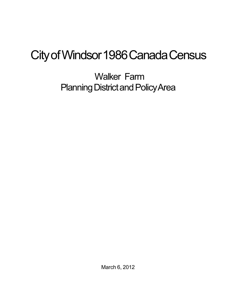# City of Windsor 1986 Canada Census

Walker Farm Planning District and Policy Area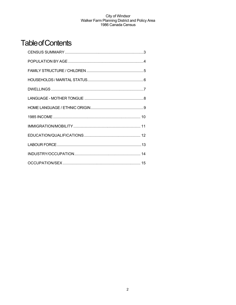# **Table of Contents**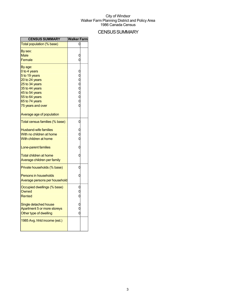# **CENSUS SUMMARY**

| <b>CENSUS SUMMARY</b>                                                                                                                                                     | <b>Walker Farm</b> |  |
|---------------------------------------------------------------------------------------------------------------------------------------------------------------------------|--------------------|--|
| Total population (% base)                                                                                                                                                 |                    |  |
| By sex:<br>Male<br>Female                                                                                                                                                 |                    |  |
| By age:<br>0 to 4 years<br>5 to 19 years<br>20 to 24 years<br>25 to 34 years<br>35 to 44 years<br>45 to 54 years<br>55 to 64 years<br>65 to 74 years<br>75 years and over | oooooo             |  |
| Average age of population<br>Total census families (% base)                                                                                                               | C                  |  |
| <b>Husband-wife families</b><br>With no children at home<br>With children at home<br>Lone-parent families<br>Total children at home<br>Average children per family        | O                  |  |
| Private households (% base)<br><b>Persons in households</b><br>Average persons per household                                                                              | C                  |  |
| Occupied dwellings (% base)<br>Owned<br>Rented                                                                                                                            | C                  |  |
| Single detached house<br>Apartment 5 or more storeys<br>Other type of dwelling                                                                                            |                    |  |
| 1985 Avg. hhld income (est.)                                                                                                                                              |                    |  |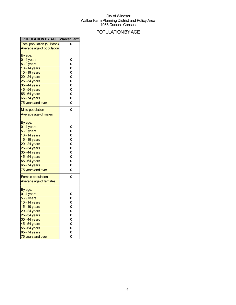# POPULATIONBYAGE

| <b>POPULATION BY AGE Walker Farm</b>                                                                                                                                                                   |           |  |
|--------------------------------------------------------------------------------------------------------------------------------------------------------------------------------------------------------|-----------|--|
| <b>Total population (% Base)</b>                                                                                                                                                                       |           |  |
| Average age of population                                                                                                                                                                              |           |  |
| By age:<br>0 - 4 years<br>5 - 9 years<br>10 - 14 years<br>15 - 19 years<br>20 - 24 years<br>25 - 34 years<br>35 - 44 years<br>45 - 54 years<br>55 - 64 years<br>65 - 74 years                          | ooooooooo |  |
| 75 years and over                                                                                                                                                                                      |           |  |
| <b>Male population</b><br>Average age of males                                                                                                                                                         | O         |  |
| By age:<br>0 - 4 years<br>5 - 9 years<br>10 - 14 years<br>15 - 19 years<br>20 - 24 years<br>25 - 34 years<br>35 - 44 years<br>45 - 54 years<br>55 - 64 years<br>65 - 74 years<br>75 years and over     | ooooooooo |  |
| <b>Female population</b><br>Average age of females                                                                                                                                                     | O         |  |
| By age:<br>0 - 4 years<br>$5 - 9$ years<br>10 - 14 years<br>15 - 19 years<br>20 - 24 years<br>25 - 34 years<br>35 - 44 years<br>$45 - 54$ years<br>55 - 64 years<br>65 - 74 years<br>75 years and over | ooooooooo |  |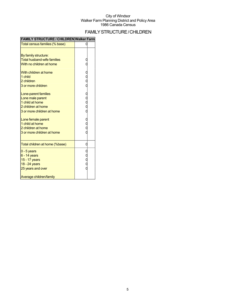# FAMILYSTRUCTURE/CHILDREN

| Total census families (% base)     |             |  |
|------------------------------------|-------------|--|
|                                    |             |  |
| By family structure:               |             |  |
| <b>Total husband-wife families</b> | C           |  |
| With no children at home           |             |  |
| With children at home              |             |  |
| 1 child                            |             |  |
| 2 children                         |             |  |
| 3 or more children                 |             |  |
| Lone-parent families               |             |  |
| Lone male parent                   |             |  |
| 1 child at home                    | C<br>C<br>C |  |
| 2 children at home                 |             |  |
| 3 or more children at home         | C           |  |
| Lone female parent                 |             |  |
| 1 child at home                    | C<br>C<br>C |  |
| 2 children at home                 |             |  |
| 3 or more children at home         |             |  |
| Total children at home (%base)     | 0           |  |
| $0 - 5$ years                      |             |  |
| $6 - 14$ years                     |             |  |
| 15 - 17 years                      | C<br>C<br>C |  |
| 18 - 24 years                      |             |  |
| 25 years and over                  |             |  |
| Average children/family            |             |  |

#### **FAMILY STRUCTURE / CHILDREN Walker Farm**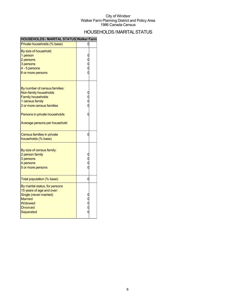# HOUSEHOLDS/MARITALSTATUS

| <b>HOUSEHOLDS / MARITAL STATUS Walker Farm</b>                                                                                                                                                       |   |  |
|------------------------------------------------------------------------------------------------------------------------------------------------------------------------------------------------------|---|--|
| Private households (% base)                                                                                                                                                                          |   |  |
| By size of household:<br>1 person<br>2 persons<br>3 persons<br>4 - 5 persons<br>6 or more persons                                                                                                    |   |  |
| By number of census families:<br>Non-family households<br><b>Family households</b><br>1 census family<br>2 or more census families<br>Persons in private households<br>Average persons per household |   |  |
| Census families in private<br>households (% base)                                                                                                                                                    | C |  |
| By size of census family:<br>2 person family<br>3 persons<br>4 persons<br>5 or more persons                                                                                                          |   |  |
| Total population (% base)                                                                                                                                                                            | C |  |
| By marital status, for persons<br>15 years of age and over:<br>Single (never married)<br><b>Married</b><br>Widowed<br><b>Divorced</b><br>Separated                                                   |   |  |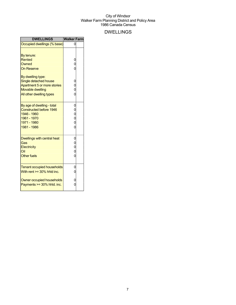# DWELLINGS

| <b>DWELLINGS</b>                                                                                                                                                                              | <b>Walker Farm</b>                                                   |  |
|-----------------------------------------------------------------------------------------------------------------------------------------------------------------------------------------------|----------------------------------------------------------------------|--|
| Occupied dwellings (% base)                                                                                                                                                                   |                                                                      |  |
| By tenure:<br><b>Rented</b><br>Owned<br><b>On Reserve</b><br>By dwelling type:<br>Single detached house<br>Apartment 5 or more stories<br><b>Movable dwelling</b><br>All other dwelling types | 0<br>$\overline{0}$<br>Ó<br>$\mathbf{0}$<br>0<br>0<br>$\overline{0}$ |  |
| By age of dwelling - total<br><b>Constructed before 1946</b><br>1946 - 1960<br>1961 - 1970<br>1971 - 1980<br>1981 - 1986                                                                      | 0<br>0<br>0<br>0<br>$\overline{0}$                                   |  |
| Dwellings with central heat<br>Gas<br><b>Electricity</b><br>Oil<br><b>Other fuels</b>                                                                                                         | $\mathbf{0}$<br>0<br>0<br>0<br>O                                     |  |
| <b>Tenant occupied households</b><br>With rent $>=$ 30% hhid inc.<br>Owner occupied households<br>Payments $>=$ 30% hhld. inc.                                                                | 0<br>0<br>0<br>0                                                     |  |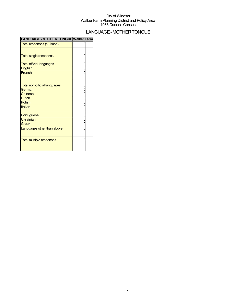# LANGUAGE-MOTHERTONGUE

| ILANGUAGE - MOTHER TONGUE Walker Farm |               |  |
|---------------------------------------|---------------|--|
| Total responses (% Base)              |               |  |
|                                       |               |  |
| <b>Total single responses</b>         |               |  |
| <b>Total official languages</b>       |               |  |
| <b>English</b>                        |               |  |
| French                                |               |  |
|                                       |               |  |
| <b>Total non-official languages</b>   |               |  |
| German                                |               |  |
| <b>Chinese</b>                        |               |  |
| <b>Dutch</b>                          | - 0<br>0<br>0 |  |
| <b>Polish</b>                         |               |  |
| <b>Italian</b>                        |               |  |
| Portuguese                            |               |  |
| Ukrainian                             |               |  |
| Greek                                 |               |  |
| Languages other than above            |               |  |
|                                       |               |  |
| <b>Total multiple responses</b>       |               |  |
|                                       |               |  |
|                                       |               |  |

### **LANGUAGE - MOTHER TONGUE Walker Farm**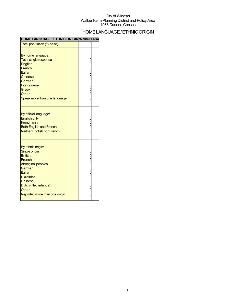## HOME LANGUAGE / ETHNIC ORIGIN

### **HOME LANGUAGE / ETHNIC ORIGIN Walker Farm**

| Total population (% base)                                                                                                                                                                                        | C         |  |
|------------------------------------------------------------------------------------------------------------------------------------------------------------------------------------------------------------------|-----------|--|
| By home language:<br><b>Total single response</b><br><b>English</b><br>French<br>Italian<br><b>Chinese</b><br>German<br>Portuguese<br><b>Greek</b><br>Other<br>Speak more than one language                      |           |  |
| By official language:<br><b>English only</b><br><b>French only</b><br><b>Both English and French</b><br><b>Neither English nor French</b>                                                                        |           |  |
| By ethnic origin:<br>Single origin<br><b>British</b><br>French<br><b>Aboriginal peoples</b><br>German<br>Italian<br>Ukrainian<br><b>Chinese</b><br>Dutch (Netherlands)<br>Other<br>Reported more than one origin | 000000000 |  |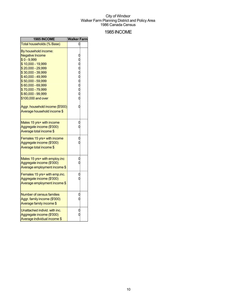## 1985INCOME

| 1985 INCOME                                                                                | Walker Farm |  |
|--------------------------------------------------------------------------------------------|-------------|--|
| Total households (% Base)                                                                  |             |  |
| By household income:<br><b>Negative Income</b>                                             |             |  |
| $$0 - 9,999$                                                                               |             |  |
| \$10,000 - 19,999                                                                          |             |  |
| \$20,000 - 29,999                                                                          |             |  |
| \$30,000 - 39,999                                                                          |             |  |
| \$40,000 - 49,999                                                                          | oooooooo    |  |
| \$50,000 - 59,999                                                                          |             |  |
| \$60,000 - 69,999                                                                          |             |  |
| \$70,000 - 79,999                                                                          |             |  |
| \$80,000 - 99,999                                                                          |             |  |
| \$100,000 and over                                                                         |             |  |
| Aggr. household income (\$'000)<br>Average household income \$                             | 0           |  |
| Males 15 yrs+ with income<br>Aggregate income (\$'000)<br>Average total income \$          | U           |  |
| Females 15 yrs+ with income<br>Aggregate income (\$'000)<br>Average total income \$        |             |  |
| Males 15 yrs+ with employ.inc<br>Aggregate income (\$'000)<br>Average employment income \$ |             |  |
| Females 15 yrs+ with emp.inc.<br>Aggregate income (\$'000)<br>Average employment income \$ |             |  |
| Number of census families<br>Aggr. family income (\$'000)<br>Average family income \$      |             |  |
| Unattached individ, with inc.<br>Aggregate income (\$'000)<br>Average individual income \$ |             |  |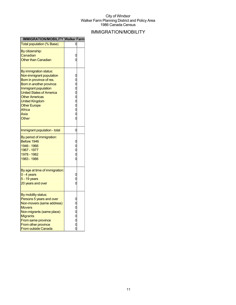# IMMIGRATION/MOBILITY

| IMMIGRATION/MOBILITY Walker Farm                                                                                                                                                                                                                                          |                 |
|---------------------------------------------------------------------------------------------------------------------------------------------------------------------------------------------------------------------------------------------------------------------------|-----------------|
| <b>Total population (% Base)</b>                                                                                                                                                                                                                                          |                 |
| By citizenship:<br>Canadian<br><b>Other than Canadian</b>                                                                                                                                                                                                                 | C               |
| By immigration status:<br>Non-immigrant population<br>Born in province of res.<br>Born in another province<br>Immigrant population<br><b>United States of America</b><br><b>Other Americas</b><br><b>United Kingdom</b><br><b>Other Europe</b><br>Africa<br>Asia<br>Other | o o o o o o o o |
| Immigrant population - total                                                                                                                                                                                                                                              | 0               |
| By period of immigration:<br>Before 1946<br>1946 - 1966<br>1967 - 1977<br>1978 - 1982<br>1983 - 1986                                                                                                                                                                      | 0<br>0<br>0     |
| By age at time of immigration:<br>$0 - 4$ years<br>5 - 19 years<br>20 years and over                                                                                                                                                                                      |                 |
| By mobility status:<br>Persons 5 years and over<br>Non-movers (same address)<br><b>Movers</b><br>Non-migrants (same place)<br>Migrants<br>From same province<br>From other province<br><b>From outside Canada</b>                                                         | oooooooooo      |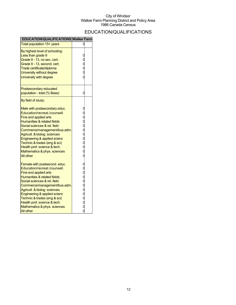# EDUCATION/QUALIFICATIONS

| <b>EDUCATION/QUALIFICATIONS Walker Farm</b>                                                                                                                                                                                                                                                                                                                                              |                       |
|------------------------------------------------------------------------------------------------------------------------------------------------------------------------------------------------------------------------------------------------------------------------------------------------------------------------------------------------------------------------------------------|-----------------------|
| Total population 15+ years                                                                                                                                                                                                                                                                                                                                                               |                       |
| By highest level of schooling:<br>Less than grade 9<br>Grade 9 - 13, no sec. cert.<br>Grade 9 - 13, second. cert.<br>Trade certificate/diploma<br>University without degree<br>University with degree                                                                                                                                                                                    | 0<br>0<br>0<br>0<br>0 |
| Postsecondary educated<br>population - total (% Base)                                                                                                                                                                                                                                                                                                                                    | 0                     |
| By field of study:<br>Male with postsecondary educ.<br>Education/recreat./counsell.<br>Fine and applied arts<br>Humanities & related fields<br>Social sciences & rel. field<br>Commerce/management/bus.adm.<br>Agricult. & biolog. sciences<br>Engineering & applied scienc<br>Technic.& trades (eng & sci)<br>Health prof. science & tech.<br>Mathematics & phys. sciences<br>All other | aaaaaaaaa             |
| Female with postsecond. educ.<br>Education/recreat./counsell.<br><b>Fine and applied arts</b><br>Humanities & related fields<br>Social sciences & rel. field<br>Commerce/management/bus.adm.<br>Agricult. & biolog. sciences<br>Engineering & applied scienc<br>Technic.& trades (eng & sci)<br>Health prof. science & tech.<br>Mathematics & phys. sciences<br><b>All other</b>         | aaaaaaaaa             |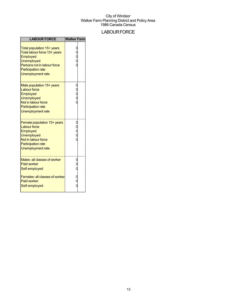# **LABOUR FORCE**

| <b>LABOUR FORCE</b>                                                                                                                                                          | <b>Walker Farm</b> |  |
|------------------------------------------------------------------------------------------------------------------------------------------------------------------------------|--------------------|--|
| Total population 15+ years<br>Total labour force 15+ years<br>Employed<br><b>Unemployed</b><br>Persons not in labour force<br><b>Participation rate</b><br>Unemployment rate |                    |  |
| Male population 15+ years<br><b>Labour force</b><br>Employed<br><b>Unemployed</b><br>Not in labour force<br><b>Participation rate</b><br>Unemployment rate                   |                    |  |
| Female population 15+ years<br><b>Labour force</b><br>Employed<br>Unemployed<br>Not in labour force<br><b>Participation rate</b><br>Unemployment rate                        |                    |  |
| Males- all classes of worker<br><b>Paid worker</b><br>Self-employed                                                                                                          |                    |  |
| Females- all classes of worker<br><b>Paid worker</b><br>Self-employed                                                                                                        |                    |  |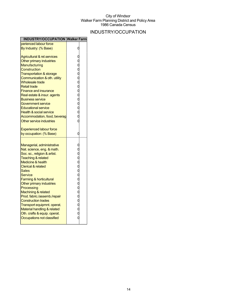# INDUSTRY/OCCUPATION

| <b>INDUSTRY/OCCUPATION Walker Farm</b> |   |  |
|----------------------------------------|---|--|
| perienced labour force                 |   |  |
| By Industry: (% Base)                  |   |  |
| <b>Agricultural &amp; rel.services</b> |   |  |
| Other primary industries               |   |  |
| <b>Manufacturing</b>                   |   |  |
| Construction                           |   |  |
| <b>Transportation &amp; storage</b>    |   |  |
| Communication & oth. utility           |   |  |
| <b>Wholesale trade</b>                 |   |  |
| <b>Retail trade</b>                    |   |  |
| <b>Finance and insurance</b>           |   |  |
| Real estate & insur. agents            |   |  |
| <b>Business service</b>                |   |  |
| Government service                     |   |  |
| <b>Educational service</b>             |   |  |
| <b>Health &amp; social service</b>     |   |  |
| Accommodation, food, beverag           |   |  |
| Other service industries               |   |  |
| <b>Experienced labour force</b>        |   |  |
| by occupation: (% Base)                | 0 |  |
| Managerial, administrative             |   |  |
| Nat. science, eng. & math.             |   |  |
| Soc. sc., religion & artist.           |   |  |
| <b>Teaching &amp; related</b>          |   |  |
| <b>Medicine &amp; health</b>           |   |  |
| <b>Clerical &amp; related</b>          |   |  |
| <b>Sales</b>                           |   |  |
| Service                                |   |  |
| <b>Farming &amp; horticultural</b>     |   |  |
| Other primary industries               |   |  |
| Processing                             |   |  |
| Machining & related                    |   |  |
| Prod. fabric./assemb./repair           |   |  |
| <b>Construction trades</b>             |   |  |
| Transport equipmnt. operat.            |   |  |
| Material handling & related            |   |  |
| Oth. crafts & equip. operat.           |   |  |
| Occupations not classified             |   |  |
|                                        |   |  |